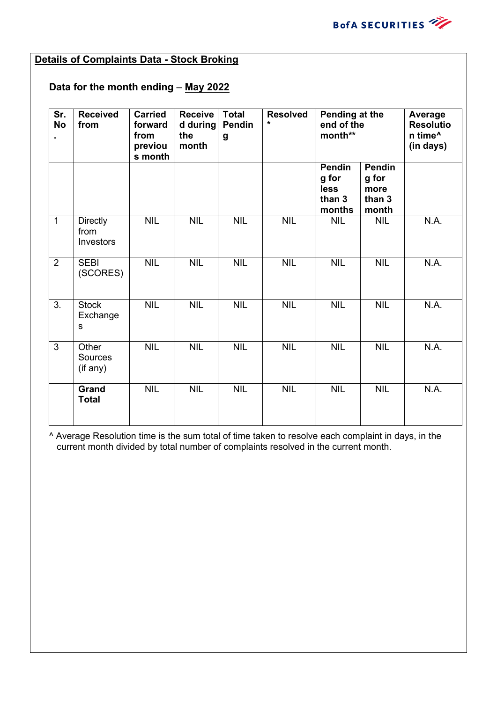

## **Details of Complaints Data - Stock Broking**

## **Data for the month ending** – **May 2022**

| Sr.<br><b>No</b><br>$\blacksquare$ | <b>Received</b><br>from              | <b>Carried</b><br>forward<br>from<br>previou<br>s month | <b>Receive</b><br>d during<br>the<br>month | <b>Total</b><br><b>Pendin</b><br>g | <b>Resolved</b><br>$\star$ | Pending at the<br>end of the<br>month**     |                                                   | Average<br><b>Resolutio</b><br>n time <sup>^</sup><br>(in days) |
|------------------------------------|--------------------------------------|---------------------------------------------------------|--------------------------------------------|------------------------------------|----------------------------|---------------------------------------------|---------------------------------------------------|-----------------------------------------------------------------|
|                                    |                                      |                                                         |                                            |                                    |                            | Pendin<br>g for<br>less<br>than 3<br>months | <b>Pendin</b><br>g for<br>more<br>than 3<br>month |                                                                 |
| $\overline{1}$                     | <b>Directly</b><br>from<br>Investors | <b>NIL</b>                                              | <b>NIL</b>                                 | <b>NIL</b>                         | <b>NIL</b>                 | <b>NIL</b>                                  | <b>NIL</b>                                        | N.A.                                                            |
| $\overline{2}$                     | <b>SEBI</b><br>(SCORES)              | <b>NIL</b>                                              | <b>NIL</b>                                 | <b>NIL</b>                         | <b>NIL</b>                 | <b>NIL</b>                                  | <b>NIL</b>                                        | N.A.                                                            |
| 3.                                 | <b>Stock</b><br>Exchange<br>s        | <b>NIL</b>                                              | <b>NIL</b>                                 | <b>NIL</b>                         | <b>NIL</b>                 | <b>NIL</b>                                  | <b>NIL</b>                                        | N.A.                                                            |
| $\overline{3}$                     | Other<br>Sources<br>(if any)         | <b>NIL</b>                                              | <b>NIL</b>                                 | <b>NIL</b>                         | <b>NIL</b>                 | <b>NIL</b>                                  | <b>NIL</b>                                        | N.A.                                                            |
|                                    | Grand<br><b>Total</b>                | <b>NIL</b>                                              | <b>NIL</b>                                 | <b>NIL</b>                         | <b>NIL</b>                 | <b>NIL</b>                                  | <b>NIL</b>                                        | N.A.                                                            |

^ Average Resolution time is the sum total of time taken to resolve each complaint in days, in the current month divided by total number of complaints resolved in the current month.